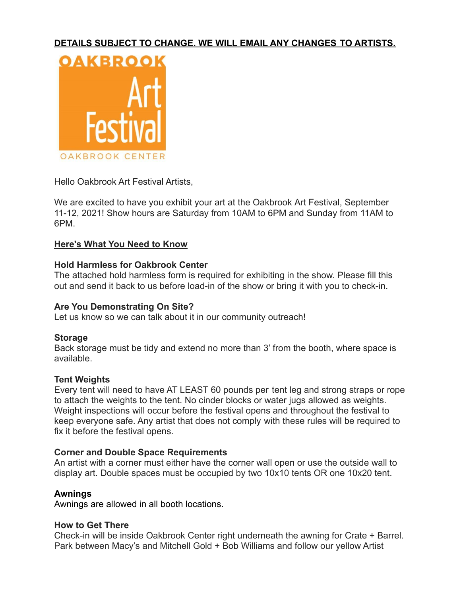# **DETAILS SUBJECT TO CHANGE. WE WILL EMAIL ANY CHANGES TO ARTISTS.**



Hello Oakbrook Art Festival Artists,

We are excited to have you exhibit your art at the Oakbrook Art Festival, September 11-12, 2021! Show hours are Saturday from 10AM to 6PM and Sunday from 11AM to 6PM.

# **Here's What You Need to Know**

## **Hold Harmless for Oakbrook Center**

The attached hold harmless form is required for exhibiting in the show. Please fill this out and send it back to us before load-in of the show or bring it with you to check-in.

# **Are You Demonstrating On Site?**

Let us know so we can talk about it in our community outreach!

#### **Storage**

Back storage must be tidy and extend no more than 3' from the booth, where space is available.

#### **Tent Weights**

Every tent will need to have AT LEAST 60 pounds per tent leg and strong straps or rope to attach the weights to the tent. No cinder blocks or water jugs allowed as weights. Weight inspections will occur before the festival opens and throughout the festival to keep everyone safe. Any artist that does not comply with these rules will be required to fix it before the festival opens.

#### **Corner and Double Space Requirements**

An artist with a corner must either have the corner wall open or use the outside wall to display art. Double spaces must be occupied by two 10x10 tents OR one 10x20 tent.

# **Awnings**

Awnings are allowed in all booth locations.

#### **How to Get There**

Check-in will be inside Oakbrook Center right underneath the awning for Crate + Barrel. Park between Macy's and Mitchell Gold + Bob Williams and follow our yellow Artist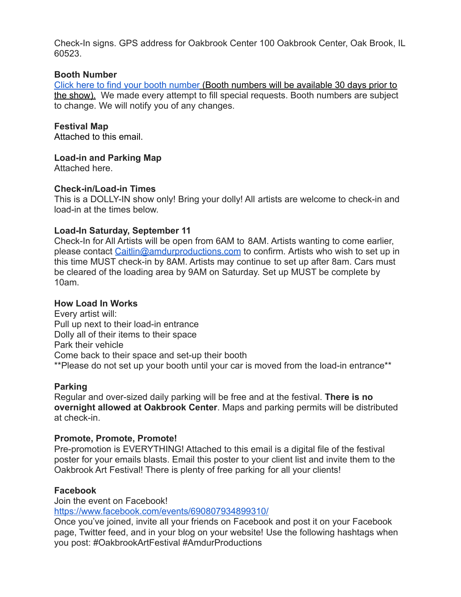Check-In signs. GPS address for Oakbrook Center 100 Oakbrook Center, Oak Brook, IL 60523.

## **Booth Number**

[Click here to find your booth number](https://amdurproductions.com/2021-oakbrook-art-festival-artist-listing/) (Booth numbers will be available 30 days prior to the show). We made every attempt to fill special requests. Booth numbers are subject to change. We will notify you of any changes.

## **Festival Map**

Attached to this email.

## **Load-in and Parking Map**

Attached here.

## **Check-in/Load-in Times**

This is a DOLLY-IN show only! Bring your dolly! All artists are welcome to check-in and load-in at the times below.

## **Load-In Saturday, September 11**

Check-In for All Artists will be open from 6AM to 8AM. Artists wanting to come earlier, please contact [Caitlin@amdurproductions.com](mailto:Caitlin@amdurproductions.com) to confirm. Artists who wish to set up in this time MUST check-in by 8AM. Artists may continue to set up after 8am. Cars must be cleared of the loading area by 9AM on Saturday. Set up MUST be complete by 10am.

#### **How Load In Works**

Every artist will: Pull up next to their load-in entrance Dolly all of their items to their space Park their vehicle Come back to their space and set-up their booth \*\*Please do not set up your booth until your car is moved from the load-in entrance\*\*

#### **Parking**

Regular and over-sized daily parking will be free and at the festival. **There is no overnight allowed at Oakbrook Center**. Maps and parking permits will be distributed at check-in.

# **Promote, Promote, Promote!**

Pre-promotion is EVERYTHING! Attached to this email is a digital file of the festival poster for your emails blasts. Email this poster to your client list and invite them to the Oakbrook Art Festival! There is plenty of free parking for all your clients!

# **Facebook**

Join the event on Facebook!

<https://www.facebook.com/events/690807934899310/>

Once you've joined, invite all your friends on Facebook and post it on your Facebook page, Twitter feed, and in your blog on your website! Use the following hashtags when you post: #OakbrookArtFestival #AmdurProductions